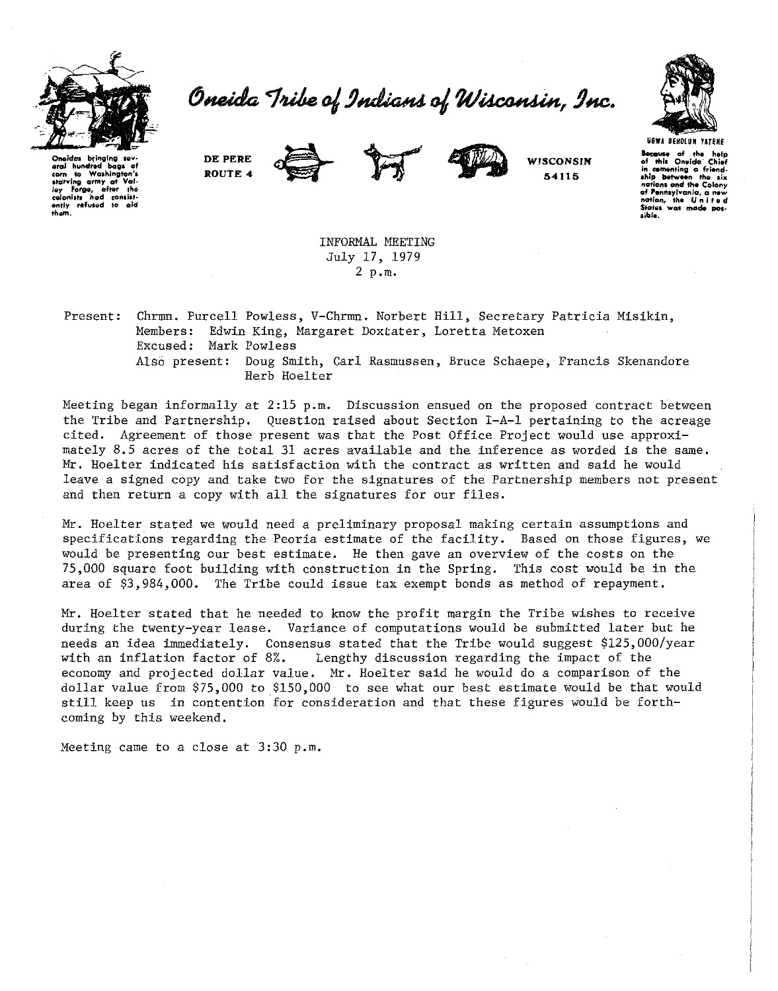

Oneida Tribe of Indians of Wisconsin, Inc.



**Oneida**<br>• **Oneida** bags of corn to Washington's<br>• Helping army at Wala starving army at loy Forge, after the<br>colonists had consist-<br>ently refused to aid<br>them. **DE PERE ROUTE** *4* 



**WISCONSIN 54115** 

**USWA DEHOlUH UTEHE lecause of tho help of tt.la Onvlda· Chief**  in cementing a friend-<br>ship between the six **notions ond the Cetlony of Pennay/vonia, a now**  nation, the United<br>States was made pos**aiblo.** 

INFORMAL MEETING July 17, 1979 2 p.m.

Present: Chrmn. Purcell Powless, V-Chrmn. Norbert Hill, Secretary Patricia Misikin, Members: Edwin King, Margaret Doxtater, Loretta Metoxen Excused: Mark Powless Also present: Doug Smith, Carl Rasmussen, Bruce Schaepe, Francis Skenandore Herb Hoelter

Meeting began informally at  $2:15$  p.m. Discussion ensued on the proposed contract between the Tribe and Partnership. Question raised about Section I-A-1 pertaining to the acreage cited. Agreement of those present was that the Post Office Project would use approximately 8.5 acres of the total 31 acres available and the inference as worded is the same. Mr. Hoelter indicated his satisfaction with the contract as written and said he would leave a signed copy and take two for the signatures of the Partnership members not present and then return a copy with all the signatures for our files.

Mr. Hoelter stated we would need a preliminary proposal making certain assumptions and specifications regarding the Peoria estimate of the facility. Based on those figures, we would be presenting our best estimate. He then gave an overview of the costs on the 75,000 square foot building with construction in the Spring. This cost would be in the area of \$3,984,000. The Tribe could issue tax exempt bonds as method of repayment.

Mr. Hoelter stated that he needed to know the profit margin the Tribe wishes to receive during the twenty-year lease. Variance of computations would be submitted later but he needs an idea immediately. Consensus stated that the Tribe would suggest \$125,000/year with an inflation factor of 8%. Lengthy discussion regarding the impact of the economy and projected dollar value. Mr. Hoelter said he would do a comparison of the dollar value from \$75,000 to \$150,000 to see what our best estimate would be that would still keep us in contention for consideration and that these figures would be forthcoming by this weekend.

Meeting came to a close at 3:30 p.m.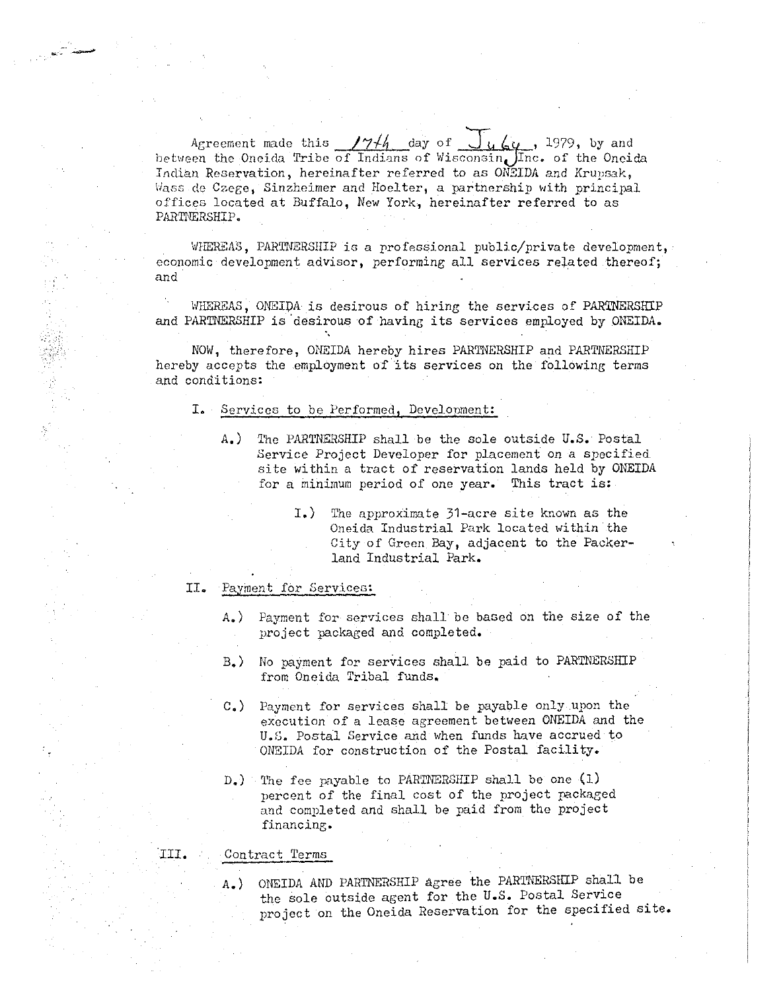Agreement made this  $/7/4$  day of  $\int u \, \epsilon \, u$ , 1979, by and between the Oneida Tribe of Indians of Wisconsin Inc. of the Oneida Indian Reservation, hereinafter referred to as ON3IDA and Erupsak, Wass de Czege, Sinzheimer and Hoelter, a partnership with principal offices located at Buffalo, New York, hereinafter referred to as PARTNERSHIP.

WHEREAS, PARTNERSHIP is a professional public/private development, economic development advisor, performing all services related thereof; and

WHEREAS, ONEIDA is desirous of hiring the services of PARTNERSHIP and PARTNERSHIP is 'desirous of having its services employed by ONEIDA.

NOW, therefore, ONEIDA hereby hires PARTNERSHIP and PARTNERSHIP hereby accepts the employment of its services on the following terms and conditions:

## I. Services to be Performed, Development:

- A.) The PARTNERSHIP shall be the sole outside U.S. Postal Service Project Developer for placement on a specified site within a tract of reservation lands held by ONEIDA for a minimum period of one year. This tract is:
	- I.) The approximate 31-acre site known as the Oneida Industrial Park located within the City of Green Bay, adjacent to the Packerland Industrial Park.

## II. Payment for Services:

*.... \_..:-* .:.---

- A.) Payment for services shall be based on the size of the project packaged and completed.
- B.) No payment for services shall be paid to PARTNERSHIP from Oneida Tribal funds.
- c.) Payment for services shall be payable only upon the execution of a lease agreement between ONEIDA and the U.G. Postal Service and when funds have accrued to ONEIDA for construction of the Postal facility.
- D.) 1'he fee payable to PARTNERSHIP shall be one (l) percent of the final cost of the project packaged and completed and shall be paid from the project **financ ine;.**

## ·III. Contract Terms

A.) ONEIDA AND PARTNERSHIP agree the PARTNERSHIP shall be the sole outside agent for the U.S. Postal Service project on the Oneida Reservation for the specified site.